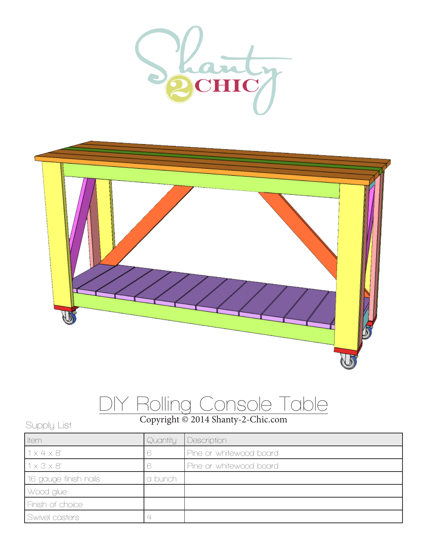



## DIY Rolling Console Table

## Copyright © 2014 Shanty-2-Chic.com Supply List

| <b>I</b> tem            | Quantity | Description             |
|-------------------------|----------|-------------------------|
| 1x4x8'                  |          | Pine or whitewood board |
| $1 \times 3 \times 8'$  |          | Pine or whitewood board |
| 16 gauge finish nails   | a bunch  |                         |
| Wood glue               |          |                         |
| <b>Finish of choice</b> |          |                         |
| Swivel casters          |          |                         |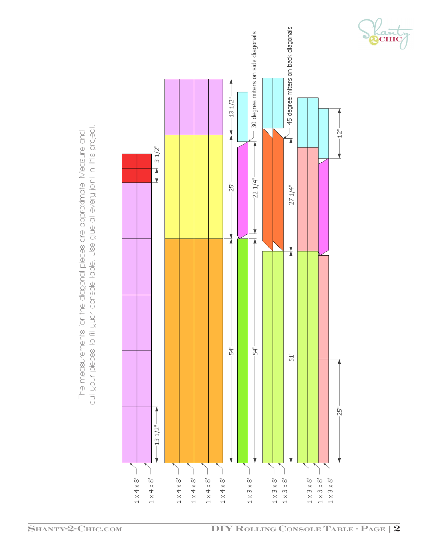

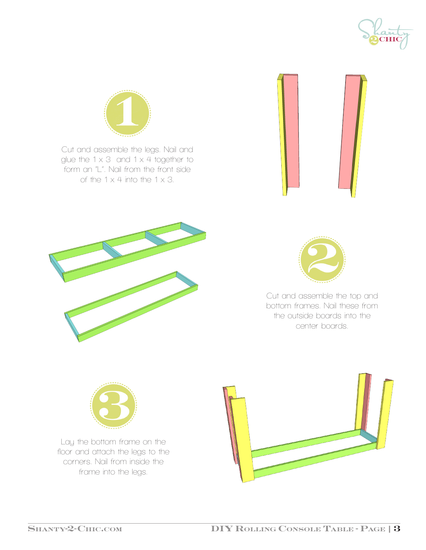



Cut and assemble the legs. Nail and glue the  $1 \times 3$  and  $1 \times 4$  together to form an "L". Nail from the front side of the  $1 \times 4$  into the  $1 \times 3$ .







Cut and assemble the top and bottom frames. Nail these from the outside boards into the center boards.



Lay the bottom frame on the floor and attach the legs to the corners. Nail from inside the frame into the legs.

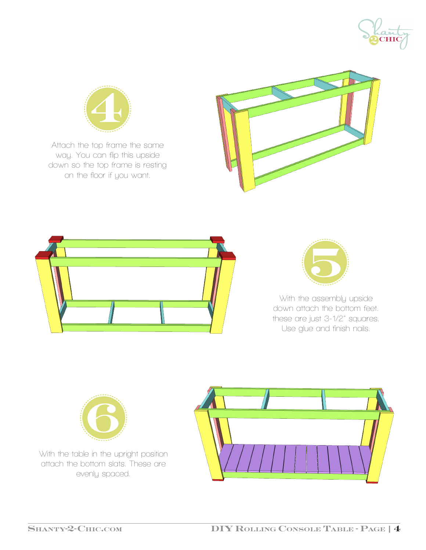



Attach the top frame the same way. You can flip this upside down so the top frame is resting on the floor if you want.







With the assembly upside down attach the bottom feet. these are just 3-1/2" squares. Use glue and finish nails.



With the table in the upright position attach the bottom slats. These are evenly spaced.